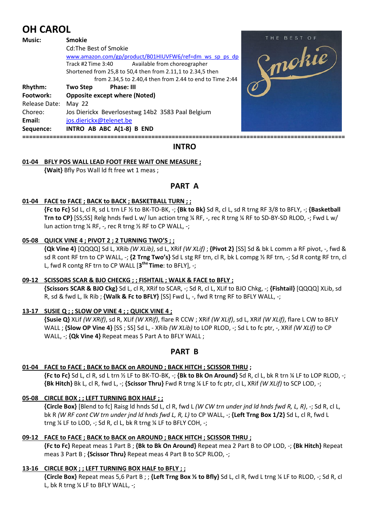# **OH CAROL**

| <b>Music:</b> | <b>Smokie</b>                                               | THE BEST OF |
|---------------|-------------------------------------------------------------|-------------|
|               | Cd: The Best of Smokie                                      |             |
|               | www.amazon.com/gp/product/B01HIUVFW6/ref=dm ws sp ps dp     | mokie       |
|               | Available from choreographer<br>Track #2 Time 3:40          |             |
|               | Shortened from 25,8 to 50,4 then from 2.11,1 to 2.34,5 then |             |
|               | from 2.34,5 to 2.40,4 then from 2.44 to end to Time 2:44    |             |
| Rhythm:       | Phase: III<br><b>Two Step</b>                               |             |
| Footwork:     | <b>Opposite except where (Noted)</b>                        |             |
| Release Date: | May $22$                                                    |             |
| Choreo:       | Jos Dierickx Beverlosestwg 14b2 3583 Paal Belgium           |             |
| Email:        | jos.dierickx@telenet.be                                     |             |
| Sequence:     | INTRO AB ABC A(1-8) B END                                   |             |
|               |                                                             |             |

# **INTRO**

# **01-04 BFLY POS WALL LEAD FOOT FREE WAIT ONE MEASURE ;**

 **{Wait}** Bfly Pos Wall ld ft free wt 1 meas ;

# **PART A**

## **01-04 FACE to FACE ; BACK to BACK ; BASKETBALL TURN ; ;**

**{Fc to Fc}** Sd L, cl R, sd L trn LF ½ to BK-TO-BK, -; **{Bk to Bk}** Sd R, cl L, sd R trng RF 3/8 to BFLY, -; **{Basketball Trn to CP}** [SS;SS] Relg hnds fwd L w/ lun action trng ¼ RF, -, rec R trng ¼ RF to SD-BY-SD RLOD, -; Fwd L w/ lun action trng ¼ RF, -, rec R trng ½ RF to CP WALL, -;

## **05-08 QUICK VINE 4 ; PIVOT 2 ; 2 TURNING TWO'S ; ;**

**{Qk Vine 4}** [QQQQ] Sd L, XRib *(W XLib)*, sd L, XRif *(W XLif)* ; **{Pivot 2}** [SS] Sd & bk L comm a RF pivot, -, fwd & sd R cont RF trn to CP WALL, -; **{2 Trng Two's}** Sd L stg RF trn, cl R, bk L compg ½ RF trn, -; Sd R contg RF trn, cl L, fwd R contg RF trn to CP WALL [**3 the Time**: to BFLY], -;

#### **09-12 SCISSORS SCAR & BJO CHECKG ; ; FISHTAIL ; WALK & FACE to BFLY ;**

 **{Scissors SCAR & BJO Ckg}** Sd L, cl R, XRif to SCAR, -; Sd R, cl L, XLif to BJO Chkg, -; **{Fishtail}** [QQQQ] XLib, sd R, sd & fwd L, lk Rib ; **{Walk & Fc to BFLY}** [SS] Fwd L, -, fwd R trng RF to BFLY WALL, -;

#### **13-17 SUSIE Q ; ; SLOW OP VINE 4 ; ; QUICK VINE 4 ;**

**{Susie Q}** XLif *(W XRif)*, sd R, XLif *(W XRif)*, flare R CCW ; XRif *(W XLif)*, sd L, XRif *(W XLif)*, flare L CW to BFLY WALL ; **{Slow OP Vine 4}** [SS ; SS] Sd L, - XRib *(W XLib)* to LOP RLOD, -; Sd L to fc ptr, -, XRif *(W XLif)* to CP WALL, -; **{Qk Vine 4}** Repeat meas 5 Part A to BFLY WALL ;

# **PART B**

#### **01-04 FACE to FACE ; BACK to BACK on AROUND ; BACK HITCH ; SCISSOR THRU ;**

**{Fc to Fc}** Sd L, cl R, sd L trn ½ LF to BK-TO-BK, -; **{Bk to Bk On Around}** Sd R, cl L, bk R trn ¼ LF to LOP RLOD, -; **{Bk Hitch}** Bk L, cl R, fwd L, -; **{Scissor Thru}** Fwd R trng ¼ LF to fc ptr, cl L, XRif *(W XLif)* to SCP LOD, -;

# **05-08 CIRCLE BOX ; ; LEFT TURNING BOX HALF ; ;**

 **{Circle Box}** [Blend to fc] Raisg ld hnds Sd L, cl R, fwd L *(W CW trn under jnd ld hnds fwd R, L, R)*, -; Sd R, cl L, bk R *(W RF cont CW trn under jnd ld hnds fwd L, R, L)* to CP WALL, -; **{Left Trng Box 1/2}** Sd L, cl R, fwd L trng ¼ LF to LOD, -; Sd R, cl L, bk R trng ¼ LF to BFLY COH, -;

# **09-12 FACE to FACE ; BACK to BACK on AROUND ; BACK HITCH ; SCISSOR THRU ;**

**{Fc to Fc}** Repeat meas 1 Part B ; **{Bk to Bk On Around}** Repeat mea 2 Part B to OP LOD, -; **{Bk Hitch}** Repeat meas 3 Part B ; **{Scissor Thru}** Repeat meas 4 Part B to SCP RLOD, -;

# **13-16 CIRCLE BOX ; ; LEFT TURNING BOX HALF to BFLY ; ;**

 **{Circle Box}** Repeat meas 5,6 Part B ; ; **{Left Trng Box ½ to Bfly}** Sd L, cl R, fwd L trng ¼ LF to RLOD, -; Sd R, cl L, bk R trng ¼ LF to BFLY WALL, -;